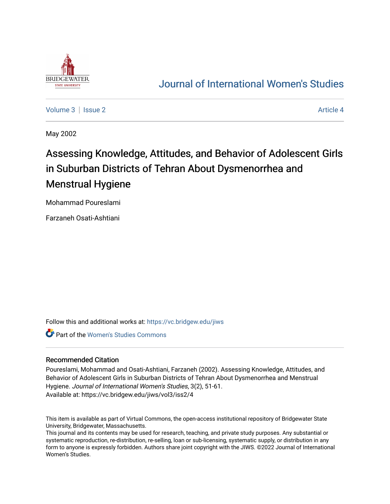

## [Journal of International Women's Studies](https://vc.bridgew.edu/jiws)

[Volume 3](https://vc.bridgew.edu/jiws/vol3) | [Issue 2](https://vc.bridgew.edu/jiws/vol3/iss2) Article 4

May 2002

# Assessing Knowledge, Attitudes, and Behavior of Adolescent Girls in Suburban Districts of Tehran About Dysmenorrhea and Menstrual Hygiene

Mohammad Poureslami

Farzaneh Osati-Ashtiani

Follow this and additional works at: [https://vc.bridgew.edu/jiws](https://vc.bridgew.edu/jiws?utm_source=vc.bridgew.edu%2Fjiws%2Fvol3%2Fiss2%2F4&utm_medium=PDF&utm_campaign=PDFCoverPages)

Part of the [Women's Studies Commons](http://network.bepress.com/hgg/discipline/561?utm_source=vc.bridgew.edu%2Fjiws%2Fvol3%2Fiss2%2F4&utm_medium=PDF&utm_campaign=PDFCoverPages) 

#### Recommended Citation

Poureslami, Mohammad and Osati-Ashtiani, Farzaneh (2002). Assessing Knowledge, Attitudes, and Behavior of Adolescent Girls in Suburban Districts of Tehran About Dysmenorrhea and Menstrual Hygiene. Journal of International Women's Studies, 3(2), 51-61. Available at: https://vc.bridgew.edu/jiws/vol3/iss2/4

This item is available as part of Virtual Commons, the open-access institutional repository of Bridgewater State University, Bridgewater, Massachusetts.

This journal and its contents may be used for research, teaching, and private study purposes. Any substantial or systematic reproduction, re-distribution, re-selling, loan or sub-licensing, systematic supply, or distribution in any form to anyone is expressly forbidden. Authors share joint copyright with the JIWS. ©2022 Journal of International Women's Studies.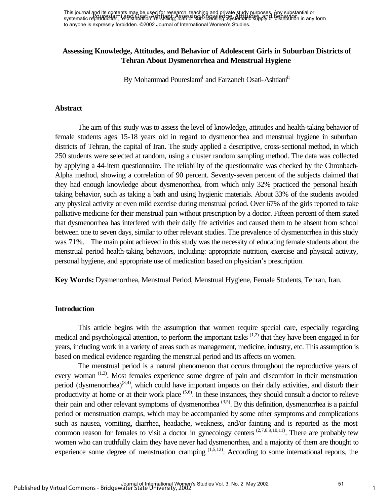This journal and its contents may be used for research, teaching and private study purposes. Any substantial or This journal and the computation of the case of the research, reading and private Attitudes, any factors and or<br>systematic reproduction, i.e. and in factorial in Assessing Charles and Behavior Attitudes, and Behavior in an to anyone is expressly forbidden. ©2002 Journal of International Women's Studies.

## **Assessing Knowledge, Attitudes, and Behavior of Adolescent Girls in Suburban Districts of Tehran About Dysmenorrhea and Menstrual Hygiene**

By Mohammad Poureslami<sup>i</sup> and Farzaneh Osati-Ashtiani<sup>ii</sup>

#### **Abstract**

The aim of this study was to assess the level of knowledge, attitudes and health-taking behavior of female students ages 15-18 years old in regard to dysmenorrhea and menstrual hygiene in suburban districts of Tehran, the capital of Iran. The study applied a descriptive, cross-sectional method, in which 250 students were selected at random, using a cluster random sampling method. The data was collected by applying a 44-item questionnaire. The reliability of the questionnaire was checked by the Chronbach-Alpha method, showing a correlation of 90 percent. Seventy-seven percent of the subjects claimed that they had enough knowledge about dysmenorrhea, from which only 32% practiced the personal health taking behavior, such as taking a bath and using hygienic materials. About 33% of the students avoided any physical activity or even mild exercise during menstrual period. Over 67% of the girls reported to take palliative medicine for their menstrual pain without prescription by a doctor. Fifteen percent of them stated that dysmenorrhea has interfered with their daily life activities and caused them to be absent from school between one to seven days, similar to other relevant studies. The prevalence of dysmenorrhea in this study was 71%. The main point achieved in this study was the necessity of educating female students about the menstrual period health-taking behaviors, including: appropriate nutrition, exercise and physical activity, personal hygiene, and appropriate use of medication based on physician's prescription.

**Key Words:** Dysmenorrhea, Menstrual Period, Menstrual Hygiene, Female Students, Tehran, Iran.

#### **Introduction**

This article begins with the assumption that women require special care, especially regarding medical and psychological attention, to perform the important tasks  $(1,2)$  that they have been engaged in for years, including work in a variety of areas such as management, medicine, industry, etc. This assumption is based on medical evidence regarding the menstrual period and its affects on women.

The menstrual period is a natural phenomenon that occurs throughout the reproductive years of every woman<sup>(1,3)</sup>. Most females experience some degree of pain and discomfort in their menstruation period (dysmenorrhea)<sup>(3,4)</sup>, which could have important impacts on their daily activities, and disturb their productivity at home or at their work place (5,6). In these instances, they should consult a doctor to relieve their pain and other relevant symptoms of dysmenorrhea  $(3,5)$ . By this definition, dysmenorrhea is a painful period or menstruation cramps, which may be accompanied by some other symptoms and complications such as nausea, vomiting, diarrhea, headache, weakness, and/or fainting and is reported as the most common reason for females to visit a doctor in gynecology centers  $(2,7,8,9,10,11)$ . There are probably few women who can truthfully claim they have never had dysmenorrhea, and a majority of them are thought to experience some degree of menstruation cramping  $(1,5,12)$ . According to some international reports, the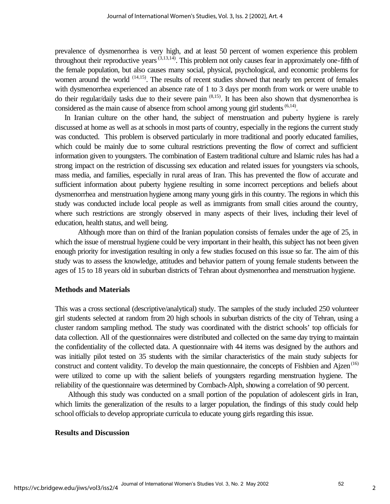prevalence of dysmenorrhea is very high, and at least 50 percent of women experience this problem throughout their reproductive years (3,13,14). This problem not only causes fear in approximately one-fifth of the female population, but also causes many social, physical, psychological, and economic problems for women around the world  $(14,15)$ . The results of recent studies showed that nearly ten percent of females with dysmenorrhea experienced an absence rate of 1 to 3 days per month from work or were unable to do their regular/daily tasks due to their severe pain  $(8,15)$ . It has been also shown that dysmenorrhea is considered as the main cause of absence from school among young girl students  $(6,14)$ .

 In Iranian culture on the other hand, the subject of menstruation and puberty hygiene is rarely discussed at home as well as at schools in most parts of country, especially in the regions the current study was conducted. This problem is observed particularly in more traditional and poorly educated families, which could be mainly due to some cultural restrictions preventing the flow of correct and sufficient information given to youngsters. The combination of Eastern traditional culture and Islamic rules has had a strong impact on the restriction of discussing sex education and related issues for youngsters via schools, mass media, and families, especially in rural areas of Iran. This has prevented the flow of accurate and sufficient information about puberty hygiene resulting in some incorrect perceptions and beliefs about dysmenorrhea and menstruation hygiene among many young girls in this country. The regions in which this study was conducted include local people as well as immigrants from small cities around the country, where such restrictions are strongly observed in many aspects of their lives, including their level of education, health status, and well being.

Although more than on third of the Iranian population consists of females under the age of 25, in which the issue of menstrual hygiene could be very important in their health, this subject has not been given enough priority for investigation resulting in only a few studies focused on this issue so far. The aim of this study was to assess the knowledge, attitudes and behavior pattern of young female students between the ages of 15 to 18 years old in suburban districts of Tehran about dysmenorrhea and menstruation hygiene.

#### **Methods and Materials**

This was a cross sectional (descriptive/analytical) study. The samples of the study included 250 volunteer girl students selected at random from 20 high schools in suburban districts of the city of Tehran, using a cluster random sampling method. The study was coordinated with the district schools' top officials for data collection. All of the questionnaires were distributed and collected on the same day trying to maintain the confidentiality of the collected data. A questionnaire with 44 items was designed by the authors and was initially pilot tested on 35 students with the similar characteristics of the main study subjects for construct and content validity. To develop the main questionnaire, the concepts of Fishbien and Ajzen<sup>(16)</sup> were utilized to come up with the salient beliefs of youngsters regarding menstruation hygiene. The reliability of the questionnaire was determined by Cornbach-Alph, showing a correlation of 90 percent.

 Although this study was conducted on a small portion of the population of adolescent girls in Iran, which limits the generalization of the results to a larger population, the findings of this study could help school officials to develop appropriate curricula to educate young girls regarding this issue.

#### **Results and Discussion**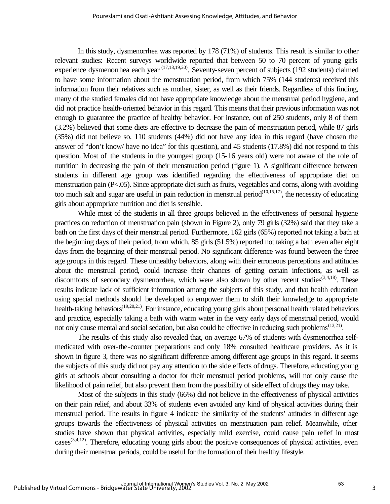In this study, dysmenorrhea was reported by 178 (71%) of students. This result is similar to other relevant studies: Recent surveys worldwide reported that between 50 to 70 percent of young girls experience dysmenorrhea each year (17,18,19,20). Seventy-seven percent of subjects (192 students) claimed to have some information about the menstruation period, from which 75% (144 students) received this information from their relatives such as mother, sister, as well as their friends. Regardless of this finding, many of the studied females did not have appropriate knowledge about the menstrual period hygiene, and did not practice health-oriented behavior in this regard. This means that their previous information was not enough to guarantee the practice of healthy behavior. For instance, out of 250 students, only 8 of them (3.2%) believed that some diets are effective to decrease the pain of menstruation period, while 87 girls (35%) did not believe so, 110 students (44%) did not have any idea in this regard (have chosen the answer of "don't know/ have no idea" for this question), and 45 students (17.8%) did not respond to this question. Most of the students in the youngest group (15-16 years old) were not aware of the role of nutrition in decreasing the pain of their menstruation period (figure 1). A significant difference between students in different age group was identified regarding the effectiveness of appropriate diet on menstruation pain (P<.05). Since appropriate diet such as fruits, vegetables and corns, along with avoiding too much salt and sugar are useful in pain reduction in menstrual period<sup> $(10,15,17)$ </sup>, the necessity of educating girls about appropriate nutrition and diet is sensible.

While most of the students in all three groups believed in the effectiveness of personal hygiene practices on reduction of menstruation pain (shown in Figure 2), only 79 girls (32%) said that they take a bath on the first days of their menstrual period. Furthermore, 162 girls (65%) reported not taking a bath at the beginning days of their period, from which, 85 girls (51.5%) reported not taking a bath even after eight days from the beginning of their menstrual period. No significant difference was found between the three age groups in this regard. These unhealthy behaviors, along with their erroneous perceptions and attitudes about the menstrual period, could increase their chances of getting certain infections, as well as discomforts of secondary dysmenorrhea, which were also shown by other recent studies<sup> $(3,4,18)$ </sup>. These results indicate lack of sufficient information among the subjects of this study, and that health education using special methods should be developed to empower them to shift their knowledge to appropriate health-taking behaviors<sup>(19,20,21)</sup>. For instance, educating young girls about personal health related behaviors and practice, especially taking a bath with warm water in the very early days of menstrual period, would not only cause mental and social sedation, but also could be effective in reducing such problems<sup>(13,21)</sup>.

The results of this study also revealed that, on average 67% of students with dysmenorrhea selfmedicated with over-the-counter preparations and only 18% consulted healthcare providers. As it is shown in figure 3, there was no significant difference among different age groups in this regard. It seems the subjects of this study did not pay any attention to the side effects of drugs. Therefore, educating young girls at schools about consulting a doctor for their menstrual period problems, will not only cause the likelihood of pain relief, but also prevent them from the possibility of side effect of drugs they may take.

Most of the subjects in this study (66%) did not believe in the effectiveness of physical activities on their pain relief, and about 33% of students even avoided any kind of physical activities during their menstrual period. The results in figure 4 indicate the similarity of the students' attitudes in different age groups towards the effectiveness of physical activities on menstruation pain relief. Meanwhile, other studies have shown that physical activities, especially mild exercise, could cause pain relief in most  $\text{cases}^{(3,4,12)}$ . Therefore, educating young girls about the positive consequences of physical activities, even during their menstrual periods, could be useful for the formation of their healthy lifestyle.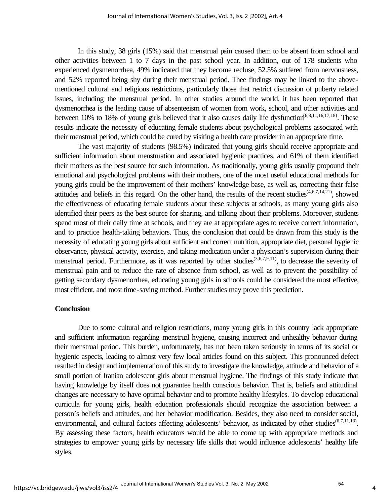In this study, 38 girls (15%) said that menstrual pain caused them to be absent from school and other activities between 1 to 7 days in the past school year. In addition, out of 178 students who experienced dysmenorrhea, 49% indicated that they become recluse, 52.5% suffered from nervousness, and 52% reported being shy during their menstrual period. Thee findings may be linked to the abovementioned cultural and religious restrictions, particularly those that restrict discussion of puberty related issues, including the menstrual period. In other studies around the world, it has been reported that dysmenorrhea is the leading cause of absenteeism of women from work, school, and other activities and between 10% to 18% of young girls believed that it also causes daily life dysfunction<sup>(6,8,11,16,17,18)</sup>. These results indicate the necessity of educating female students about psychological problems associated with their menstrual period, which could be cured by visiting a health care provider in an appropriate time.

The vast majority of students (98.5%) indicated that young girls should receive appropriate and sufficient information about menstruation and associated hygienic practices, and 61% of them identified their mothers as the best source for such information. As traditionally, young girls usually propound their emotional and psychological problems with their mothers, one of the most useful educational methods for young girls could be the improvement of their mothers' knowledge base, as well as, correcting their false attitudes and beliefs in this regard. On the other hand, the results of the recent studies<sup> $(4,6,7,14,21)$ </sup>, showed the effectiveness of educating female students about these subjects at schools, as many young girls also identified their peers as the best source for sharing, and talking about their problems. Moreover, students spend most of their daily time at schools, and they are at appropriate ages to receive correct information, and to practice health-taking behaviors. Thus, the conclusion that could be drawn from this study is the necessity of educating young girls about sufficient and correct nutrition, appropriate diet, personal hygienic observance, physical activity, exercise, and taking medication under a physician's supervision during their menstrual period. Furthermore, as it was reported by other studies<sup> $(3,6,7,9,11)$ </sup>, to decrease the severity of menstrual pain and to reduce the rate of absence from school, as well as to prevent the possibility of getting secondary dysmenorrhea, educating young girls in schools could be considered the most effective, most efficient, and most time-saving method. Further studies may prove this prediction.

#### **Conclusion**

Due to some cultural and religion restrictions, many young girls in this country lack appropriate and sufficient information regarding menstrual hygiene, causing incorrect and unhealthy behavior during their menstrual period. This burden, unfortunately, has not been taken seriously in terms of its social or hygienic aspects, leading to almost very few local articles found on this subject. This pronounced defect resulted in design and implementation of this study to investigate the knowledge, attitude and behavior of a small portion of Iranian adolescent girls about menstrual hygiene. The findings of this study indicate that having knowledge by itself does not guarantee health conscious behavior. That is, beliefs and attitudinal changes are necessary to have optimal behavior and to promote healthy lifestyles. To develop educational curricula for young girls, health education professionals should recognize the association between a person's beliefs and attitudes, and her behavior modification. Besides, they also need to consider social, environmental, and cultural factors affecting adolescents' behavior, as indicated by other studies<sup>(6,7,11,13)</sup>. By assessing these factors, health educators would be able to come up with appropriate methods and strategies to empower young girls by necessary life skills that would influence adolescents' healthy life styles.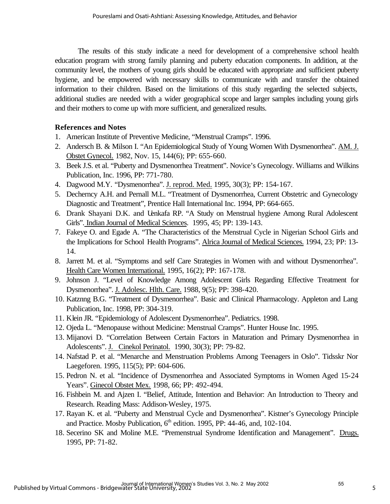The results of this study indicate a need for development of a comprehensive school health education program with strong family planning and puberty education components. In addition, at the community level, the mothers of young girls should be educated with appropriate and sufficient puberty hygiene, and be empowered with necessary skills to communicate with and transfer the obtained information to their children. Based on the limitations of this study regarding the selected subjects, additional studies are needed with a wider geographical scope and larger samples including young girls and their mothers to come up with more sufficient, and generalized results.

## **References and Notes**

- 1. American Institute of Preventive Medicine, "Menstrual Cramps". 1996.
- 2. Andersch B. & Milson I. "An Epidemiological Study of Young Women With Dysmenorrhea". AM. J. Obstet Gynecol. 1982, Nov. 15, 144(6); PP: 655-660.
- 3. Beek J.S. et al. "Puberty and Dysmenorrhea Treatment". Novice's Gynecology. Williams and Wilkins Publication, Inc. 1996, PP: 771-780.
- 4. Dagwood M.Y. "Dysmenorrhea". J. reprod. Med. 1995, 30(3); PP: 154-167.
- 5. Decherncy A.H. and Pernall M.L. "Treatment of Dysmenorrhea, Current Obstetric and Gynecology Diagnostic and Treatment", Prentice Hall International Inc. 1994, PP: 664-665.
- 6. Drank Shayani D.K. and Uenkafa RP. "A Study on Menstrual hygiene Among Rural Adolescent Girls". Indian Journal of Medical Sciences. 1995, 45; PP: 139-143.
- 7. Fakeye O. and Egade A. "The Characteristics of the Menstrual Cycle in Nigerian School Girls and the Implications for School Health Programs". Alrica Journal of Medical Sciences. 1994, 23; PP: 13-14.
- 8. Jarrett M. et al. "Symptoms and self Care Strategies in Women with and without Dysmenorrhea". Health Care Women International. 1995, 16(2); PP: 167-178.
- 9. Johnson J. "Level of Knowledge Among Adolescent Girls Regarding Effective Treatment for Dysmenorrhea". J. Adolesc. Hlth. Care. 1988, 9(5); PP: 398-420.
- 10. Katznng B.G. "Treatment of Dysmenorrhea". Basic and Clinical Pharmacology. Appleton and Lang Publication, Inc. 1998, PP: 304-319.
- 11. Klein JR. "Epidemiology of Adolescent Dysmenorrhea". Pediatrics. 1998.
- 12. Ojeda L. "Menopause without Medicine: Menstrual Cramps". Hunter House Inc. 1995.
- 13. Mijanovi D. "Correlation Between Certain Factors in Maturation and Primary Dysmenorrhea in Adolescents". J. Cinekol Perinatol. 1990, 30(3); PP: 79-82.
- 14. Nafstad P. et al. "Menarche and Menstruation Problems Among Teenagers in Oslo". Tidsskr Nor Laegeforen. 1995, 115(5); PP: 604-606.
- 15. Pedron N. et al. "Incidence of Dysmenorrhea and Associated Symptoms in Women Aged 15-24 Years". Ginecol Obstet Mex. 1998, 66; PP: 492-494.
- 16. Fishbein M. and Ajzen I. "Belief, Attitude, Intention and Behavior: An Introduction to Theory and Research. Reading Mass: Addison-Wesley, 1975.
- 17. Rayan K. et al. "Puberty and Menstrual Cycle and Dysmenorrhea". Kistner's Gynecology Principle and Practice. Mosby Publication,  $6<sup>th</sup>$  edition. 1995, PP: 44-46, and, 102-104.
- 18. Secerino SK and Moline M.E. "Premenstrual Syndrome Identification and Management". Drugs. 1995, PP: 71-82.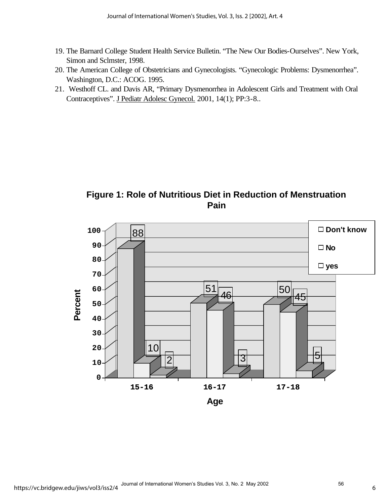- 19. The Barnard College Student Health Service Bulletin. "The New Our Bodies-Ourselves". New York, Simon and Sclmster, 1998.
- 20. The American College of Obstetricians and Gynecologists. "Gynecologic Problems: Dysmenorrhea". Washington, D.C.: ACOG. 1995.
- 21. Westhoff CL. and Davis AR, "Primary Dysmenorrhea in Adolescent Girls and Treatment with Oral Contraceptives". J Pediatr Adolesc Gynecol. 2001, 14(1); PP:3-8..

**Figure 1: Role of Nutritious Diet in Reduction of Menstruation Pain**

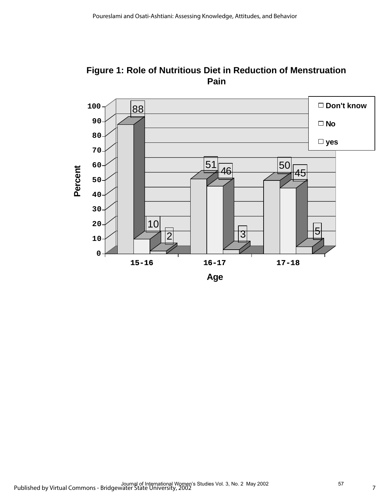

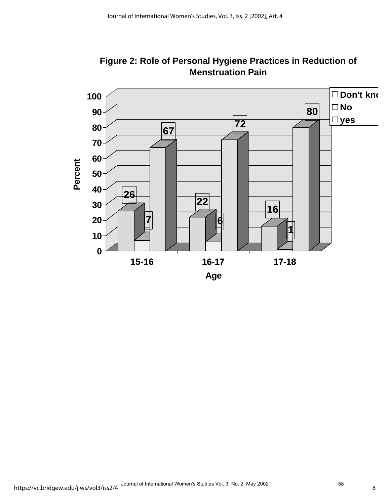

**Figure 2: Role of Personal Hygiene Practices in Reduction of Menstruation Pain**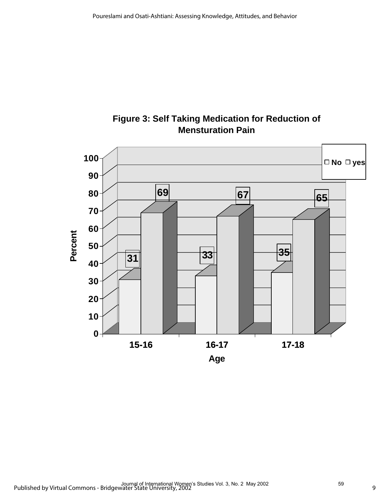

## **Figure 3: Self Taking Medication for Reduction of Mensturation Pain**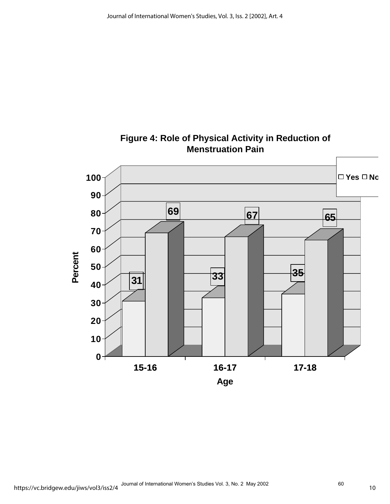